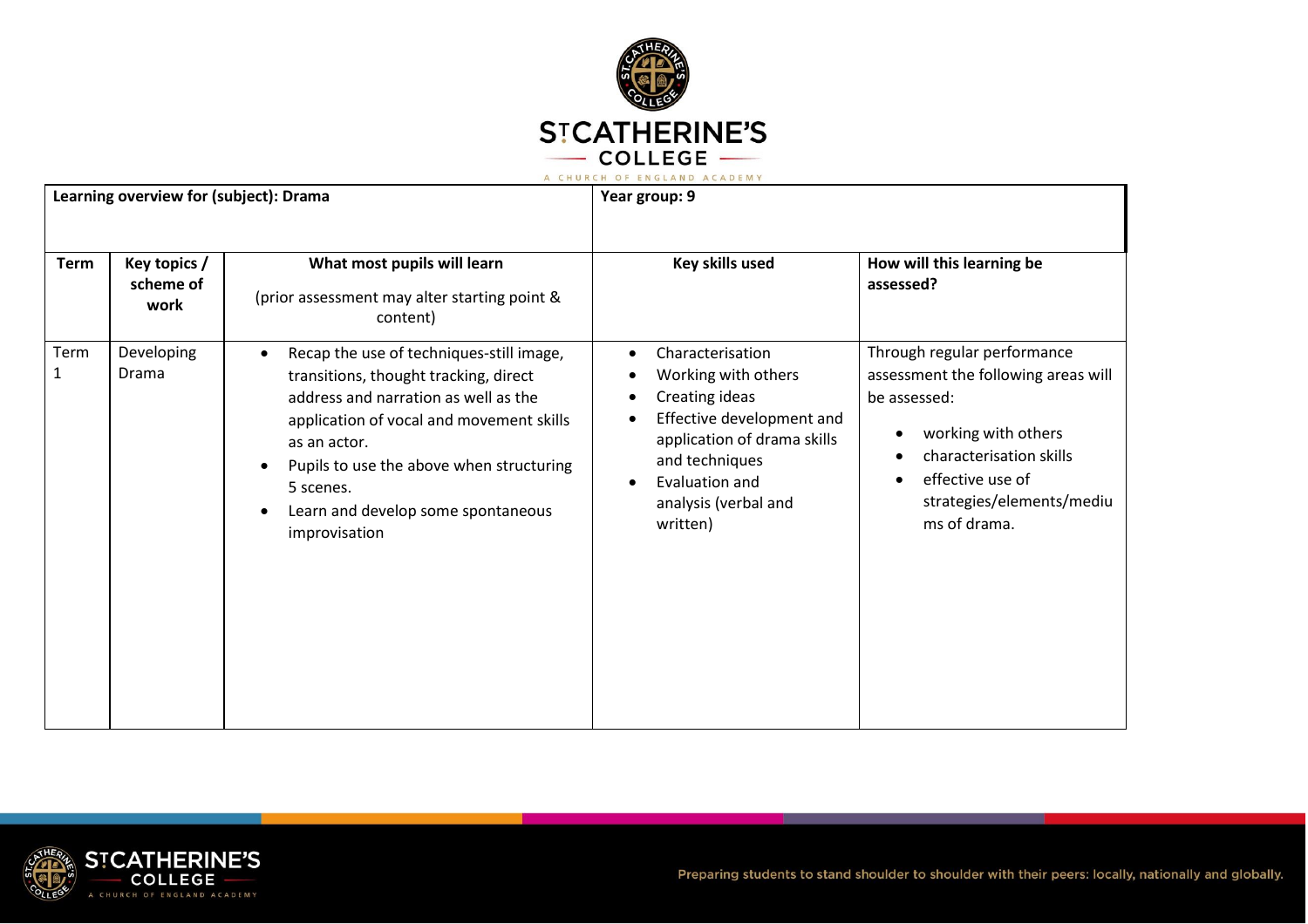

| Learning overview for (subject): Drama |                                   | Year group: 9                                                                                                                                                                                                                                                                                                      |                                                                                                                                                                                                                         |                                                                                                                                                                                                       |
|----------------------------------------|-----------------------------------|--------------------------------------------------------------------------------------------------------------------------------------------------------------------------------------------------------------------------------------------------------------------------------------------------------------------|-------------------------------------------------------------------------------------------------------------------------------------------------------------------------------------------------------------------------|-------------------------------------------------------------------------------------------------------------------------------------------------------------------------------------------------------|
| <b>Term</b>                            | Key topics /<br>scheme of<br>work | What most pupils will learn<br>(prior assessment may alter starting point &<br>content)                                                                                                                                                                                                                            | Key skills used                                                                                                                                                                                                         | How will this learning be<br>assessed?                                                                                                                                                                |
| Term<br>1                              | Developing<br>Drama               | Recap the use of techniques-still image,<br>$\bullet$<br>transitions, thought tracking, direct<br>address and narration as well as the<br>application of vocal and movement skills<br>as an actor.<br>Pupils to use the above when structuring<br>5 scenes.<br>Learn and develop some spontaneous<br>improvisation | Characterisation<br>$\bullet$<br>Working with others<br>Creating ideas<br>Effective development and<br>application of drama skills<br>and techniques<br>Evaluation and<br>$\bullet$<br>analysis (verbal and<br>written) | Through regular performance<br>assessment the following areas will<br>be assessed:<br>working with others<br>characterisation skills<br>effective use of<br>strategies/elements/mediu<br>ms of drama. |

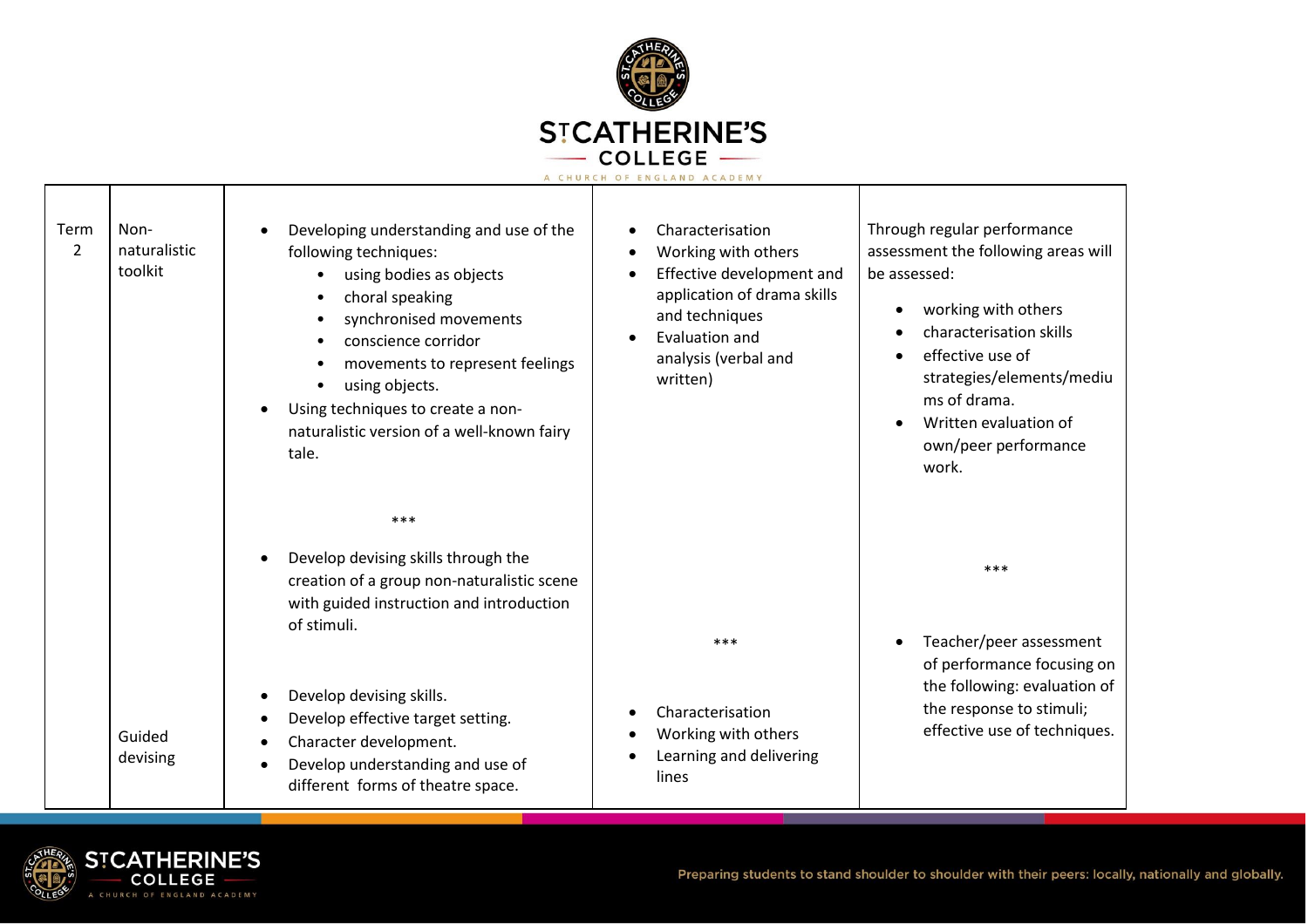

| Term<br>$\overline{2}$ | Non-<br>naturalistic<br>toolkit | Developing understanding and use of the<br>$\bullet$<br>following techniques:<br>using bodies as objects<br>$\bullet$<br>choral speaking<br>synchronised movements<br>conscience corridor<br>movements to represent feelings<br>using objects.<br>Using techniques to create a non-<br>$\bullet$<br>naturalistic version of a well-known fairy<br>tale. | Characterisation<br>Working with others<br>$\bullet$<br>Effective development and<br>$\bullet$<br>application of drama skills<br>and techniques<br>Evaluation and<br>analysis (verbal and<br>written) | Through regular performance<br>assessment the following areas will<br>be assessed:<br>working with others<br>characterisation skills<br>effective use of<br>$\bullet$<br>strategies/elements/mediu<br>ms of drama.<br>Written evaluation of<br>own/peer performance<br>work. |
|------------------------|---------------------------------|---------------------------------------------------------------------------------------------------------------------------------------------------------------------------------------------------------------------------------------------------------------------------------------------------------------------------------------------------------|-------------------------------------------------------------------------------------------------------------------------------------------------------------------------------------------------------|------------------------------------------------------------------------------------------------------------------------------------------------------------------------------------------------------------------------------------------------------------------------------|
|                        |                                 | ***<br>Develop devising skills through the<br>$\bullet$<br>creation of a group non-naturalistic scene<br>with guided instruction and introduction<br>of stimuli.<br>Develop devising skills.<br>$\bullet$<br>Develop effective target setting.<br>$\bullet$                                                                                             | ***<br>Characterisation                                                                                                                                                                               | ***<br>Teacher/peer assessment<br>of performance focusing on<br>the following: evaluation of<br>the response to stimuli;<br>effective use of techniques.                                                                                                                     |
|                        | Guided<br>devising              | Character development.<br>$\bullet$<br>Develop understanding and use of<br>$\bullet$<br>different forms of theatre space.                                                                                                                                                                                                                               | Working with others<br>Learning and delivering<br>lines                                                                                                                                               |                                                                                                                                                                                                                                                                              |

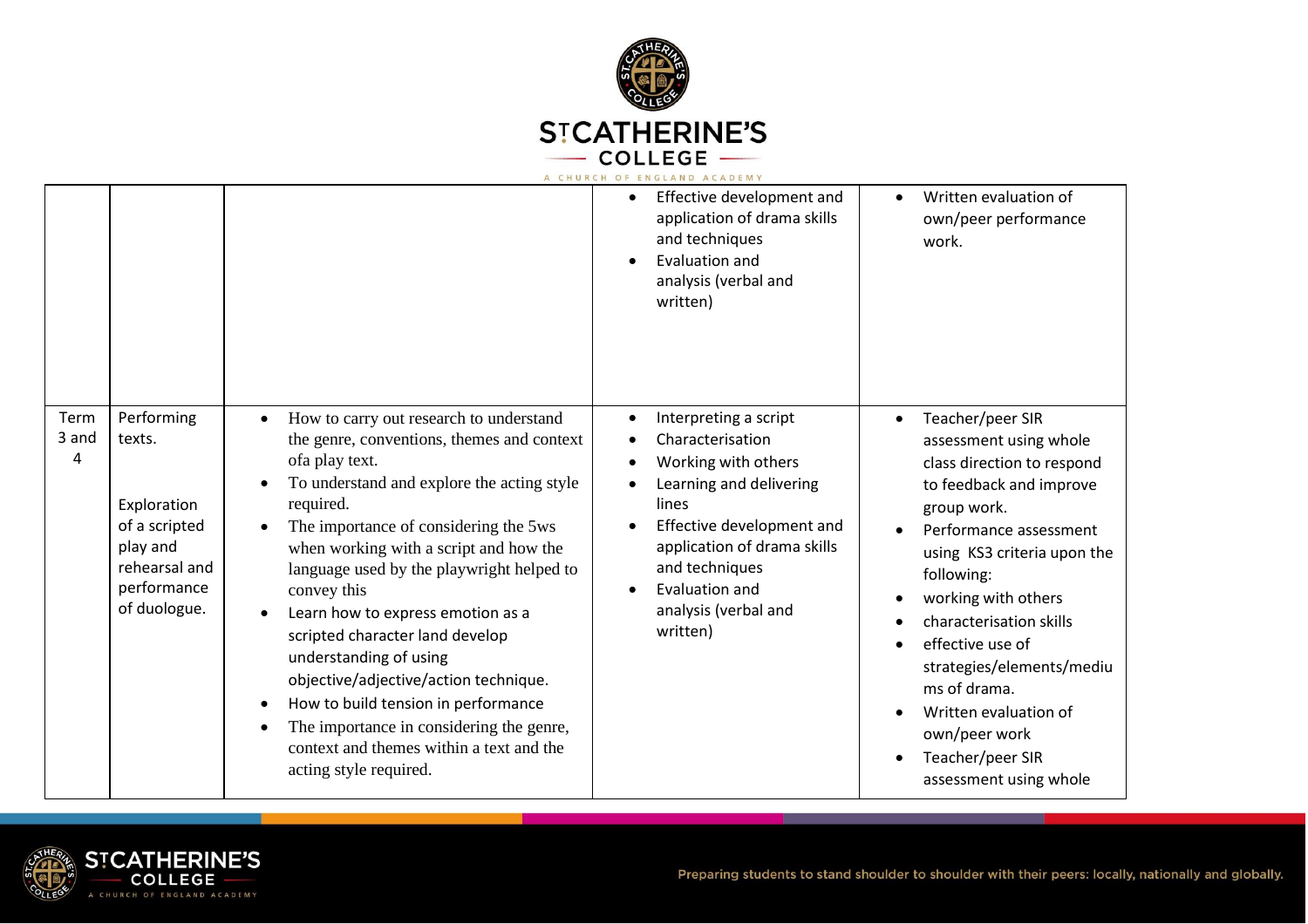

|                    |                                                                                                                  |                                                                                                                                                                                                                                                                                                                                                                                                                                                                                                                                                                                                                       | A CHURCH OF ENGLAND ACADEMY                                                                                                                                                                                                                                                                       |                                                                                                                                                                                                                                                                                                                                                                                                      |
|--------------------|------------------------------------------------------------------------------------------------------------------|-----------------------------------------------------------------------------------------------------------------------------------------------------------------------------------------------------------------------------------------------------------------------------------------------------------------------------------------------------------------------------------------------------------------------------------------------------------------------------------------------------------------------------------------------------------------------------------------------------------------------|---------------------------------------------------------------------------------------------------------------------------------------------------------------------------------------------------------------------------------------------------------------------------------------------------|------------------------------------------------------------------------------------------------------------------------------------------------------------------------------------------------------------------------------------------------------------------------------------------------------------------------------------------------------------------------------------------------------|
|                    |                                                                                                                  |                                                                                                                                                                                                                                                                                                                                                                                                                                                                                                                                                                                                                       | Effective development and<br>$\bullet$<br>application of drama skills<br>and techniques<br>Evaluation and<br>analysis (verbal and<br>written)                                                                                                                                                     | Written evaluation of<br>$\bullet$<br>own/peer performance<br>work.                                                                                                                                                                                                                                                                                                                                  |
| Term<br>3 and<br>4 | Performing<br>texts.<br>Exploration<br>of a scripted<br>play and<br>rehearsal and<br>performance<br>of duologue. | How to carry out research to understand<br>the genre, conventions, themes and context<br>ofa play text.<br>To understand and explore the acting style<br>required.<br>The importance of considering the 5ws<br>when working with a script and how the<br>language used by the playwright helped to<br>convey this<br>Learn how to express emotion as a<br>scripted character land develop<br>understanding of using<br>objective/adjective/action technique.<br>How to build tension in performance<br>The importance in considering the genre,<br>context and themes within a text and the<br>acting style required. | Interpreting a script<br>٠<br>Characterisation<br>$\bullet$<br>Working with others<br>$\bullet$<br>Learning and delivering<br>$\bullet$<br>lines<br>Effective development and<br>application of drama skills<br>and techniques<br>Evaluation and<br>$\bullet$<br>analysis (verbal and<br>written) | Teacher/peer SIR<br>assessment using whole<br>class direction to respond<br>to feedback and improve<br>group work.<br>Performance assessment<br>using KS3 criteria upon the<br>following:<br>working with others<br>characterisation skills<br>effective use of<br>strategies/elements/mediu<br>ms of drama.<br>Written evaluation of<br>own/peer work<br>Teacher/peer SIR<br>assessment using whole |

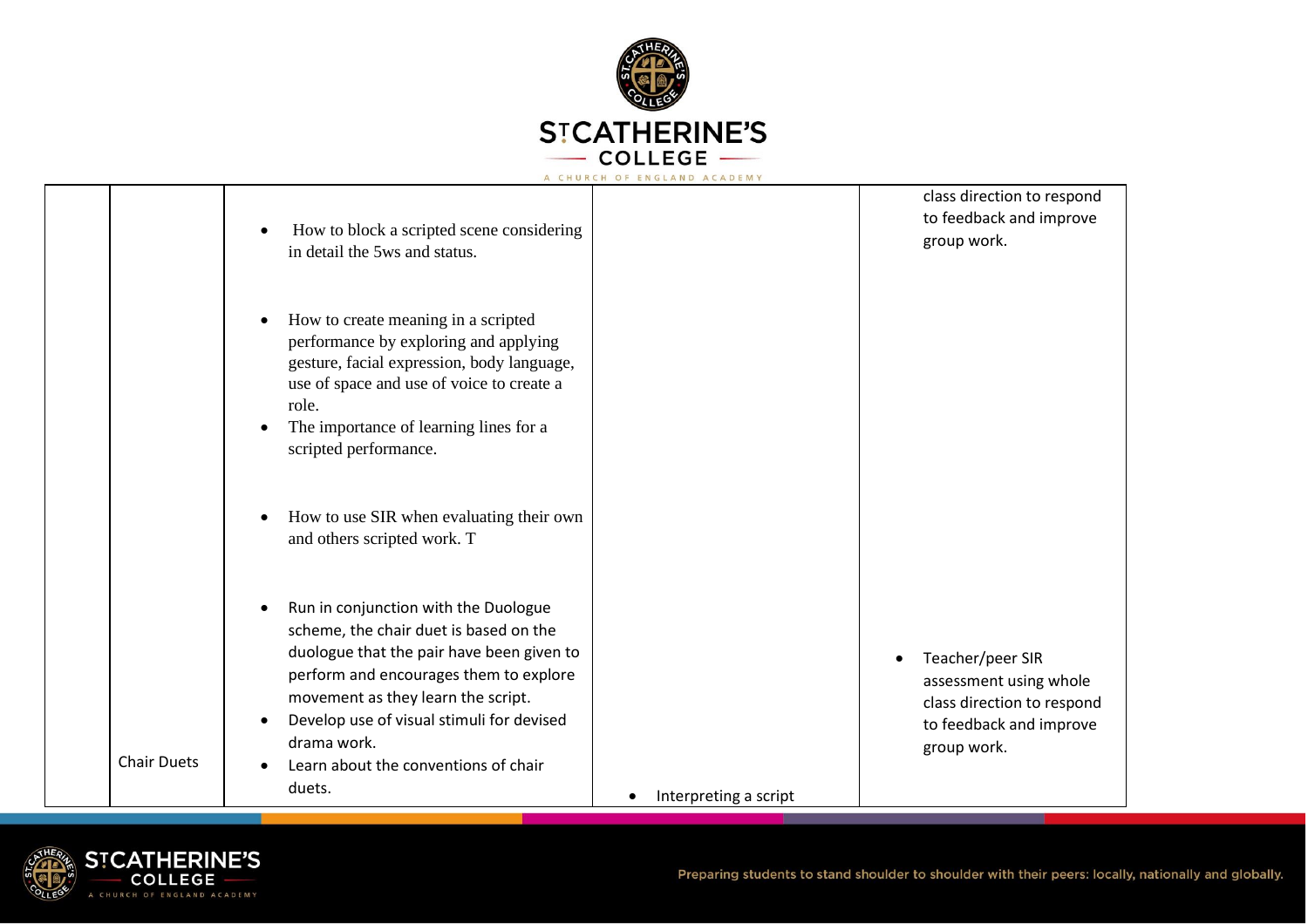

|                    | How to block a scripted scene considering<br>in detail the 5ws and status.                                                                                                                                                                                                                                                |                       | class direction to respond<br>to feedback and improve<br>group work.                                                            |
|--------------------|---------------------------------------------------------------------------------------------------------------------------------------------------------------------------------------------------------------------------------------------------------------------------------------------------------------------------|-----------------------|---------------------------------------------------------------------------------------------------------------------------------|
|                    | How to create meaning in a scripted<br>performance by exploring and applying<br>gesture, facial expression, body language,<br>use of space and use of voice to create a<br>role.<br>The importance of learning lines for a<br>scripted performance.                                                                       |                       |                                                                                                                                 |
|                    | How to use SIR when evaluating their own<br>and others scripted work. T                                                                                                                                                                                                                                                   |                       |                                                                                                                                 |
| <b>Chair Duets</b> | Run in conjunction with the Duologue<br>scheme, the chair duet is based on the<br>duologue that the pair have been given to<br>perform and encourages them to explore<br>movement as they learn the script.<br>Develop use of visual stimuli for devised<br>drama work.<br>Learn about the conventions of chair<br>duets. |                       | Teacher/peer SIR<br>$\bullet$<br>assessment using whole<br>class direction to respond<br>to feedback and improve<br>group work. |
|                    |                                                                                                                                                                                                                                                                                                                           | Interpreting a script |                                                                                                                                 |

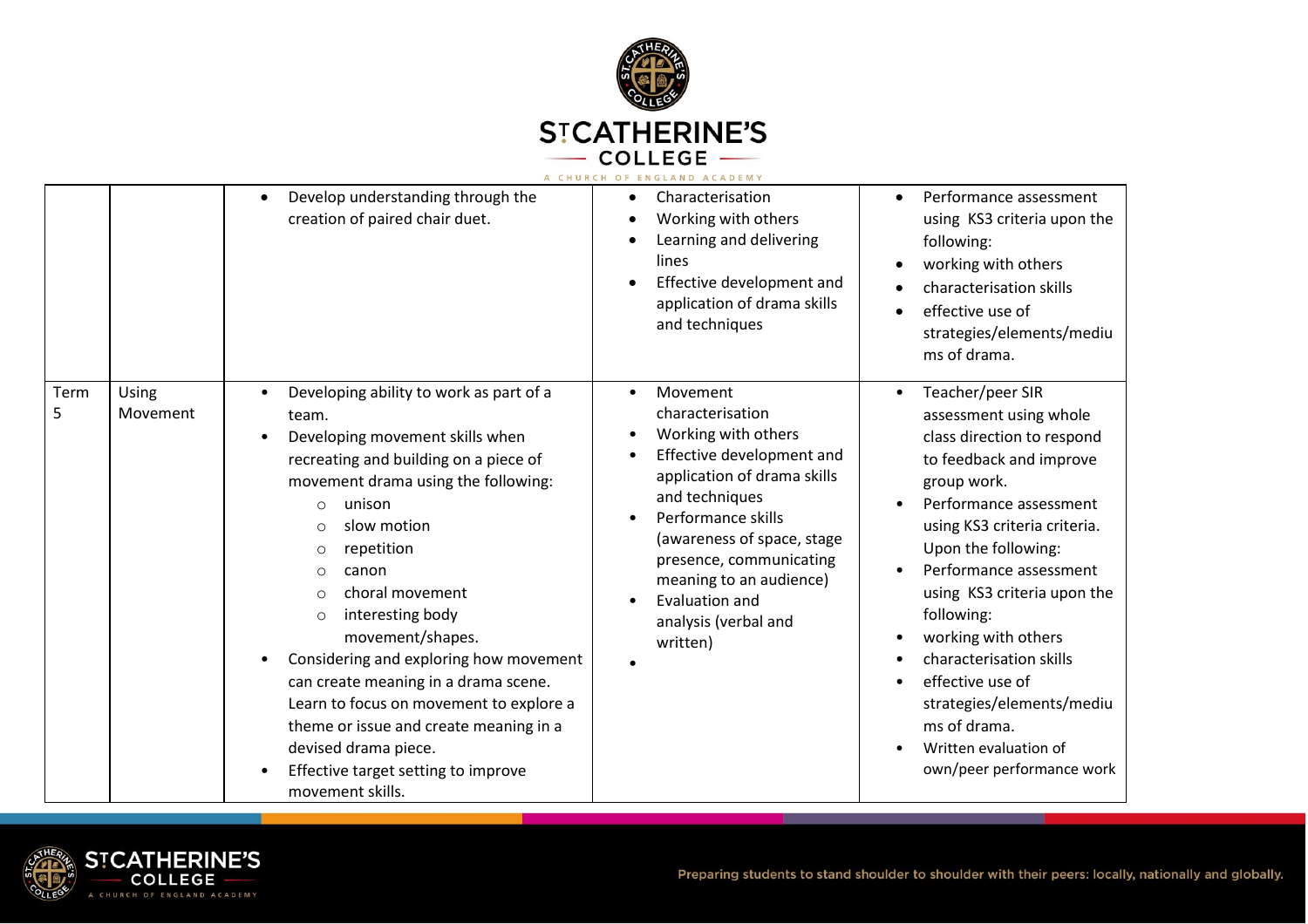

|           |                   |                                                                                                                                                                                                                                                                                                                                                                                                                                                                                                                                                                                                                               | A CHURCH OF ENGLAND ACADEMY                                                                                                                                                                                                                                                                                    |                                                                                                                                                                                                                                                                                                                                                                                                                                                                                                                      |
|-----------|-------------------|-------------------------------------------------------------------------------------------------------------------------------------------------------------------------------------------------------------------------------------------------------------------------------------------------------------------------------------------------------------------------------------------------------------------------------------------------------------------------------------------------------------------------------------------------------------------------------------------------------------------------------|----------------------------------------------------------------------------------------------------------------------------------------------------------------------------------------------------------------------------------------------------------------------------------------------------------------|----------------------------------------------------------------------------------------------------------------------------------------------------------------------------------------------------------------------------------------------------------------------------------------------------------------------------------------------------------------------------------------------------------------------------------------------------------------------------------------------------------------------|
|           |                   | Develop understanding through the<br>creation of paired chair duet.                                                                                                                                                                                                                                                                                                                                                                                                                                                                                                                                                           | Characterisation<br>Working with others<br>Learning and delivering<br>lines<br>Effective development and<br>application of drama skills<br>and techniques                                                                                                                                                      | Performance assessment<br>$\bullet$<br>using KS3 criteria upon the<br>following:<br>working with others<br>$\bullet$<br>characterisation skills<br>effective use of<br>$\bullet$<br>strategies/elements/mediu<br>ms of drama.                                                                                                                                                                                                                                                                                        |
| Term<br>5 | Using<br>Movement | Developing ability to work as part of a<br>$\bullet$<br>team.<br>Developing movement skills when<br>recreating and building on a piece of<br>movement drama using the following:<br>unison<br>$\bigcirc$<br>slow motion<br>$\circ$<br>repetition<br>$\circ$<br>canon<br>$\circ$<br>choral movement<br>$\bigcirc$<br>interesting body<br>$\circ$<br>movement/shapes.<br>Considering and exploring how movement<br>can create meaning in a drama scene.<br>Learn to focus on movement to explore a<br>theme or issue and create meaning in a<br>devised drama piece.<br>Effective target setting to improve<br>movement skills. | Movement<br>$\bullet$<br>characterisation<br>Working with others<br>Effective development and<br>application of drama skills<br>and techniques<br>Performance skills<br>(awareness of space, stage<br>presence, communicating<br>meaning to an audience)<br>Evaluation and<br>analysis (verbal and<br>written) | Teacher/peer SIR<br>$\bullet$<br>assessment using whole<br>class direction to respond<br>to feedback and improve<br>group work.<br>Performance assessment<br>$\bullet$<br>using KS3 criteria criteria.<br>Upon the following:<br>Performance assessment<br>using KS3 criteria upon the<br>following:<br>working with others<br>$\bullet$<br>characterisation skills<br>$\bullet$<br>effective use of<br>$\bullet$<br>strategies/elements/mediu<br>ms of drama.<br>Written evaluation of<br>own/peer performance work |